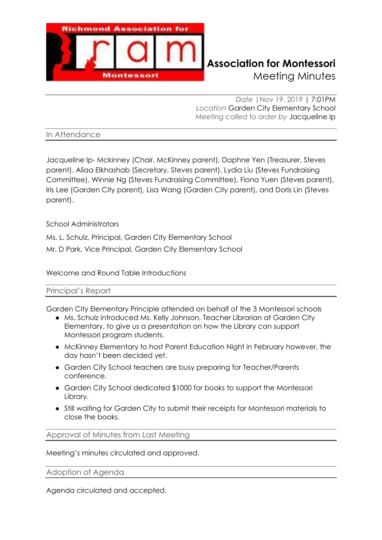

# **Richmond Association for Montessori** Meeting Minutes

*Date |*Nov 19, 2019 | 7:01PM *Location* Garden City Elementary School *Meeting called to order by* Jacqueline Ip

In Attendance

Jacqueline Ip- Mckinney (Chair, McKinney parent), Daphne Yen (Treasurer, Steves parent), Aliaa Elkhashab (Secretary, Steves parent), Lydia Liu (Steves Fundraising Committee), Winnie Ng (Steves Fundraising Committee), Fiona Yuen (Steves parent), Iris Lee (Garden City parent), Lisa Wang (Garden City parent), and Doris Lin (Steves parent).

School Administrators

Ms. [L. Schulz,](https://gardencity.sd38.bc.ca/about-us/our-staff/lschulz) Principal, Garden City Elementary School

Mr. D Park, Vice Principal, Garden City Elementary School

Welcome and Round Table Introductions

#### Principal's Report

Garden City Elementary Principle attended on behalf of the 3 Montessori schools

- Ms. Schulz introduced Ms. Kelly Johnson, Teacher Librarian at Garden City Elementary, to give us a presentation on how the Library can support Montessori program students.
- McKinney Elementary to host Parent Education Night in February however, the day hasn't been decided yet.
- Garden City School teachers are busy preparing for Teacher/Parents conference.
- Garden City School dedicated \$1000 for books to support the Montessori Library.
- Still waiting for Garden City to submit their receipts for Montessori materials to close the books.

Approval of Minutes from Last Meeting

Meeting's minutes circulated and approved.

Adoption of Agenda

Agenda circulated and accepted.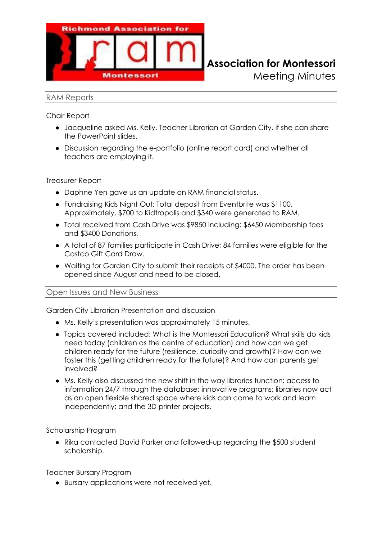

#### RAM Reports

Chair Report

● Jacqueline asked Ms. Kelly, Teacher Librarian at Garden City, if she can share the PowerPoint slides.

Meeting Minutes

● Discussion regarding the e-portfolio (online report card) and whether all teachers are employing it.

Treasurer Report

- Daphne Yen gave us an update on RAM financial status.
- Fundraising Kids Night Out: Total deposit from Eventbrite was \$1100. Approximately, \$700 to Kidtropolis and \$340 were generated to RAM.
- Total received from Cash Drive was \$9850 including: \$6450 Membership fees and \$3400 Donations.
- A total of 87 families participate in Cash Drive; 84 families were eligible for the Costco Gift Card Draw.
- Waiting for Garden City to submit their receipts of \$4000. The order has been opened since August and need to be closed.

Open Issues and New Business

Garden City Librarian Presentation and discussion

- Ms. Kelly's presentation was approximately 15 minutes.
- Topics covered included: What is the Montessori Education? What skills do kids need today (children as the centre of education) and how can we get children ready for the future (resilience, curiosity and growth)? How can we foster this (getting children ready for the future)? And how can parents get involved?
- Ms. Kelly also discussed the new shift in the way libraries function: access to information 24/7 through the database; innovative programs; libraries now act as an open flexible shared space where kids can come to work and learn independently; and the 3D printer projects.

Scholarship Program

● Rika contacted David Parker and followed-up regarding the \$500 student scholarship.

Teacher Bursary Program

● Bursary applications were not received yet.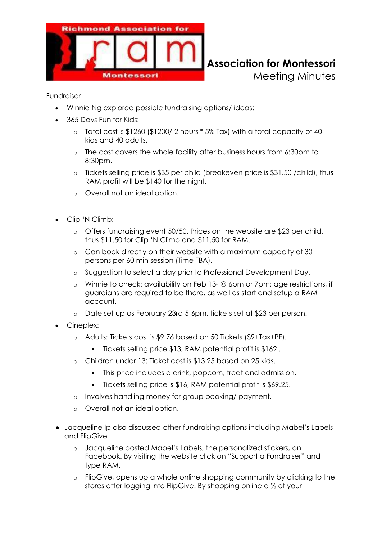

## **Richmond Association for Montessori** Meeting Minutes

#### Fundraiser

- Winnie Ng explored possible fundraising options/ ideas:
- 365 Days Fun for Kids:
	- o Total cost is \$1260 (\$1200/ 2 hours \* 5% Tax) with a total capacity of 40 kids and 40 adults.
	- The cost covers the whole facility after business hours from 6:30pm to 8:30pm.
	- o Tickets selling price is \$35 per child (breakeven price is \$31.50 /child), thus RAM profit will be \$140 for the night.
	- o Overall not an ideal option.
- Clip 'N Climb:
	- o Offers fundraising event 50/50. Prices on the website are \$23 per child, thus \$11.50 for Clip 'N Climb and \$11.50 for RAM.
	- o Can book directly on their website with a maximum capacity of 30 persons per 60 min session (Time TBA).
	- o Suggestion to select a day prior to Professional Development Day.
	- o Winnie to check: availability on Feb  $13n \otimes 6$ pm or 7pm; age restrictions, if guardians are required to be there, as well as start and setup a RAM account.
	- o Date set up as February 23rd 5-6pm, tickets set at \$23 per person.
- Cineplex:
	- o Adults: Tickets cost is \$9.76 based on 50 Tickets (\$9+Tax+PF).
		- Tickets selling price \$13, RAM potential profit is \$162.
	- o Children under 13: Ticket cost is \$13.25 based on 25 kids.
		- **•** This price includes a drink, popcorn, treat and admission.
		- Tickets selling price is \$16, RAM potential profit is \$69.25.
	- o Involves handling money for group booking/ payment.
	- o Overall not an ideal option.
- Jacqueline Ip also discussed other fundraising options including Mabel's Labels and FlipGive
	- o Jacqueline posted Mabel's Labels, the personalized stickers, on Facebook. By visiting the website click on "Support a Fundraiser" and type RAM.
	- o FlipGive, opens up a whole online shopping community by clicking to the stores after logging into FlipGive. By shopping online a % of your